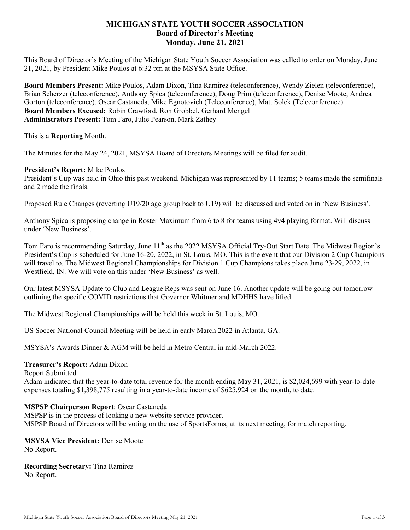# **MICHIGAN STATE YOUTH SOCCER ASSOCIATION Board of Director's Meeting Monday, June 21, 2021**

This Board of Director's Meeting of the Michigan State Youth Soccer Association was called to order on Monday, June 21, 2021, by President Mike Poulos at 6:32 pm at the MSYSA State Office.

**Board Members Present:** Mike Poulos, Adam Dixon, Tina Ramirez (teleconference), Wendy Zielen (teleconference), Brian Scherzer (teleconference), Anthony Spica (teleconference), Doug Prim (teleconference), Denise Moote, Andrea Gorton (teleconference), Oscar Castaneda, Mike Egnotovich (Teleconference), Matt Solek (Teleconference) **Board Members Excused:** Robin Crawford, Ron Grobbel, Gerhard Mengel **Administrators Present:** Tom Faro, Julie Pearson, Mark Zathey

This is a **Reporting** Month.

The Minutes for the May 24, 2021, MSYSA Board of Directors Meetings will be filed for audit.

## **President's Report:** Mike Poulos

President's Cup was held in Ohio this past weekend. Michigan was represented by 11 teams; 5 teams made the semifinals and 2 made the finals.

Proposed Rule Changes (reverting U19/20 age group back to U19) will be discussed and voted on in 'New Business'.

Anthony Spica is proposing change in Roster Maximum from 6 to 8 for teams using 4v4 playing format. Will discuss under 'New Business'.

Tom Faro is recommending Saturday, June 11<sup>th</sup> as the 2022 MSYSA Official Try-Out Start Date. The Midwest Region's President's Cup is scheduled for June 16-20, 2022, in St. Louis, MO. This is the event that our Division 2 Cup Champions will travel to. The Midwest Regional Championships for Division 1 Cup Champions takes place June 23-29, 2022, in Westfield, IN. We will vote on this under 'New Business' as well.

Our latest MSYSA Update to Club and League Reps was sent on June 16. Another update will be going out tomorrow outlining the specific COVID restrictions that Governor Whitmer and MDHHS have lifted.

The Midwest Regional Championships will be held this week in St. Louis, MO.

US Soccer National Council Meeting will be held in early March 2022 in Atlanta, GA.

MSYSA's Awards Dinner & AGM will be held in Metro Central in mid-March 2022.

## **Treasurer's Report:** Adam Dixon

## Report Submitted.

Adam indicated that the year-to-date total revenue for the month ending May 31, 2021, is \$2,024,699 with year-to-date expenses totaling \$1,398,775 resulting in a year-to-date income of \$625,924 on the month, to date.

## **MSPSP Chairperson Report**: Oscar Castaneda

MSPSP is in the process of looking a new website service provider. MSPSP Board of Directors will be voting on the use of SportsForms, at its next meeting, for match reporting.

#### **MSYSA Vice President:** Denise Moote No Report.

**Recording Secretary:** Tina Ramirez No Report.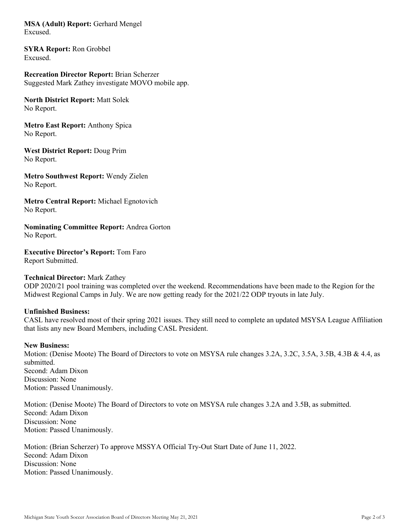**MSA (Adult) Report:** Gerhard Mengel Excused.

**SYRA Report:** Ron Grobbel Excused.

**Recreation Director Report:** Brian Scherzer Suggested Mark Zathey investigate MOVO mobile app.

**North District Report:** Matt Solek No Report.

**Metro East Report:** Anthony Spica No Report.

**West District Report:** Doug Prim No Report.

**Metro Southwest Report:** Wendy Zielen No Report.

**Metro Central Report:** Michael Egnotovich No Report.

**Nominating Committee Report:** Andrea Gorton No Report.

**Executive Director's Report:** Tom Faro Report Submitted.

## **Technical Director:** Mark Zathey

ODP 2020/21 pool training was completed over the weekend. Recommendations have been made to the Region for the Midwest Regional Camps in July. We are now getting ready for the 2021/22 ODP tryouts in late July.

#### **Unfinished Business:**

CASL have resolved most of their spring 2021 issues. They still need to complete an updated MSYSA League Affiliation that lists any new Board Members, including CASL President.

#### **New Business:**

Motion: (Denise Moote) The Board of Directors to vote on MSYSA rule changes 3.2A, 3.2C, 3.5A, 3.5B, 4.3B & 4.4, as submitted. Second: Adam Dixon Discussion: None Motion: Passed Unanimously.

Motion: (Denise Moote) The Board of Directors to vote on MSYSA rule changes 3.2A and 3.5B, as submitted. Second: Adam Dixon Discussion: None Motion: Passed Unanimously.

Motion: (Brian Scherzer) To approve MSSYA Official Try-Out Start Date of June 11, 2022. Second: Adam Dixon Discussion: None Motion: Passed Unanimously.